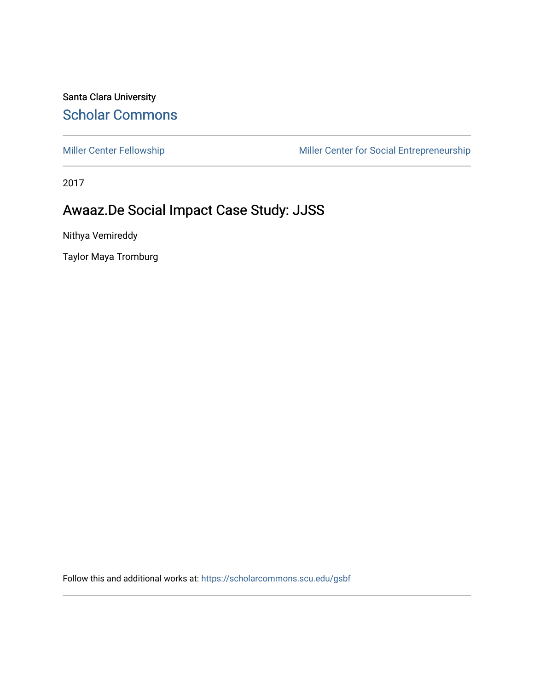Santa Clara University [Scholar Commons](https://scholarcommons.scu.edu/) 

[Miller Center Fellowship](https://scholarcommons.scu.edu/gsbf) Miller Center for Social Entrepreneurship

2017

### Awaaz.De Social Impact Case Study: JJSS

Nithya Vemireddy

Taylor Maya Tromburg

Follow this and additional works at: [https://scholarcommons.scu.edu/gsbf](https://scholarcommons.scu.edu/gsbf?utm_source=scholarcommons.scu.edu%2Fgsbf%2F81&utm_medium=PDF&utm_campaign=PDFCoverPages)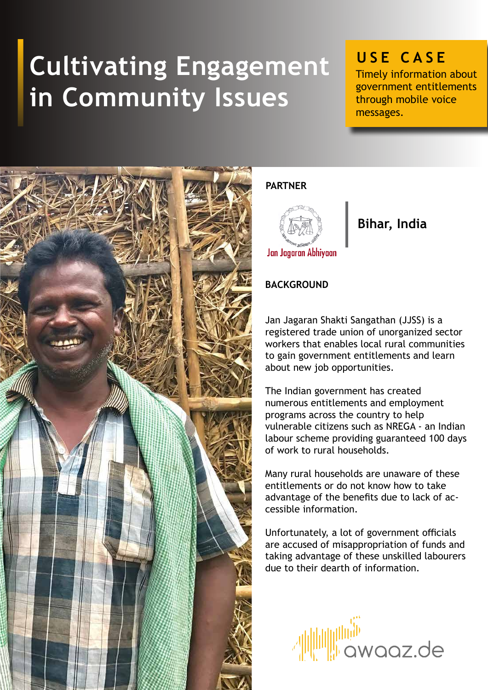# **Cultivating Engagement in Community Issues**

## **USE CASE**

Timely information about government entitlements through mobile voice messages.



#### **PARTNER**



### **Bihar, India**

#### **BACKGROUND**

Jan Jagaran Shakti Sangathan (JJSS) is a registered trade union of unorganized sector workers that enables local rural communities to gain government entitlements and learn about new job opportunities.

The Indian government has created numerous entitlements and employment programs across the country to help vulnerable citizens such as NREGA - an Indian labour scheme providing guaranteed 100 days of work to rural households.

Many rural households are unaware of these entitlements or do not know how to take advantage of the benefits due to lack of accessible information.

Unfortunately, a lot of government officials are accused of misappropriation of funds and taking advantage of these unskilled labourers due to their dearth of information.

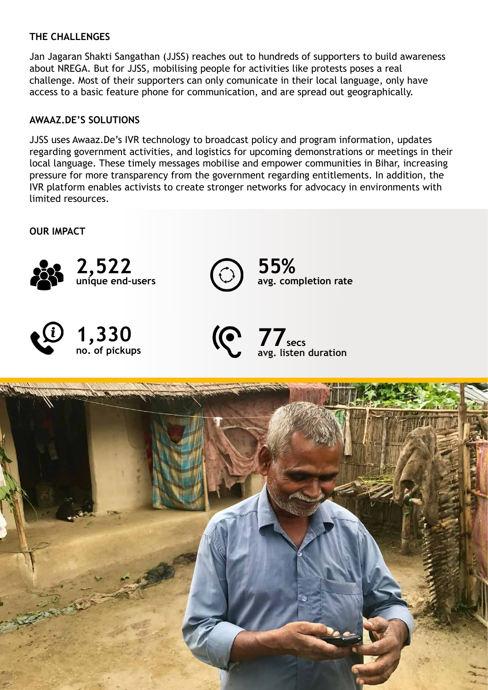#### **THE CHALLENGES**

Jan Jagaran Shakti Sangathan (JJSS) reaches out to hundreds of supporters to build awareness about NREGA. But for JJSS, mobilising people for activities like protests poses a real challenge. Most of their supporters can only comunicate in their local language, only have access to a basic feature phone for communication, and are spread out geographically.

#### **AWAAZ.DE'S SOLUTIONS**

JJSS uses Awaaz.De's IVR technology to broadcast policy and program information, updates regarding government activities, and logistics for upcoming demonstrations or meetings in their local language. These timely messages mobilise and empower communities in Bihar, increasing pressure for more transparency from the government regarding entitlements. In addition, the IVR platform enables activists to create stronger networks for advocacy in environments with limited resources.

**OUR IMPACT**